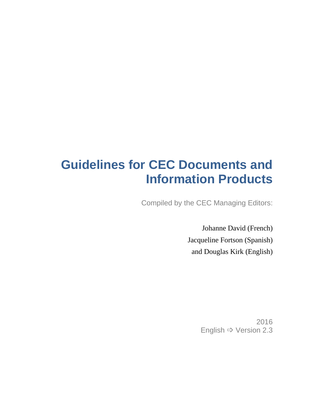# **Guidelines for CEC Documents and Information Products**

Compiled by the CEC Managing Editors:

Johanne David (French) Jacqueline Fortson (Spanish) and Douglas Kirk (English)

> 2016 English Version 2.3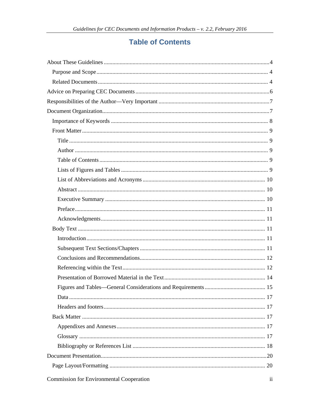# **Table of Contents**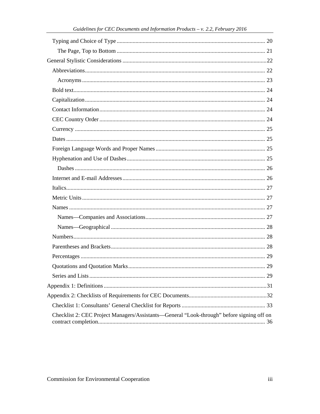| Checklist 2: CEC Project Managers/Assistants—General "Look-through" before signing off on |  |
|-------------------------------------------------------------------------------------------|--|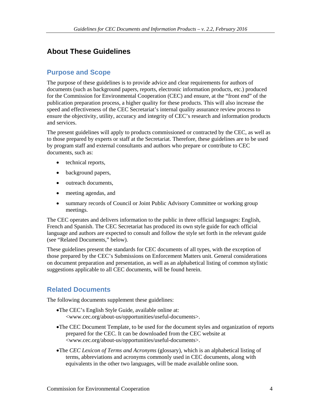# **About These Guidelines**

# **Purpose and Scope**

The purpose of these guidelines is to provide advice and clear requirements for authors of documents (such as background papers, reports, electronic information products, etc.) produced for the Commission for Environmental Cooperation (CEC) and ensure, at the "front end" of the publication preparation process, a higher quality for these products. This will also increase the speed and effectiveness of the CEC Secretariat's internal quality assurance review process to ensure the objectivity, utility, accuracy and integrity of CEC's research and information products and services.

The present guidelines will apply to products commissioned or contracted by the CEC, as well as to those prepared by experts or staff at the Secretariat. Therefore, these guidelines are to be used by program staff and external consultants and authors who prepare or contribute to CEC documents, such as:

- technical reports,
- background papers,
- outreach documents,
- meeting agendas, and
- summary records of Council or Joint Public Advisory Committee or working group meetings.

The CEC operates and delivers information to the public in three official languages: English, French and Spanish. The CEC Secretariat has produced its own style guide for each official language and authors are expected to consult and follow the style set forth in the relevant guide (see "Related Documents," below).

These guidelines present the standards for CEC documents of all types, with the exception of those prepared by the CEC's Submissions on Enforcement Matters unit. General considerations on document preparation and presentation, as well as an alphabetical listing of common stylistic suggestions applicable to all CEC documents, will be found herein.

# **Related Documents**

The following documents supplement these guidelines:

- •The CEC's English Style Guide, available online at: <www.cec.org/about-us/opportunities/useful-documents>.
- •The CEC Document Template, to be used for the document styles and organization of reports prepared for the CEC. It can be downloaded from the CEC website at <www.cec.org/about-us/opportunities/useful-documents>.
- •The *CEC Lexicon of Terms and Acronyms* (glossary), which is an alphabetical listing of terms, abbreviations and acronyms commonly used in CEC documents, along with equivalents in the other two languages, will be made available online soon.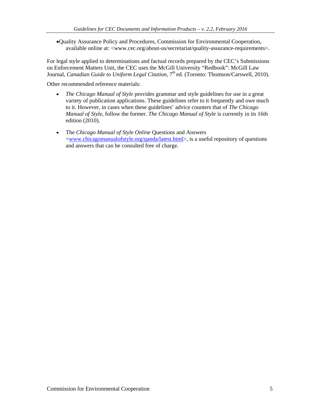•Quality Assurance Policy and Procedures, Commission for Environmental Cooperation, available online at: <www.cec.org/about-us/secretariat/quality-assurance-requirements>.

For legal style applied to determinations and factual records prepared by the CEC's Submissions on Enforcement Matters Unit, the CEC uses the McGill University "Redbook": McGill Law Journal, *Canadian Guide to Uniform Legal Citation*, 7<sup>th</sup> ed. (Toronto: Thomson/Carswell, 2010).

Other recommended reference materials:

- *The Chicago Manual of Style* provides grammar and style guidelines for use in a great variety of publication applications. These guidelines refer to it frequently and owe much to it. However, in cases when these guidelines' advice counters that of *The Chicago Manual of Style*, follow the former. *The Chicago Manual of Style* is currently in its 16th edition (2010).
- The *Chicago Manual of Style Online* Questions and Answers [<www.chicagomanualofstyle.org/qanda/latest.html>](http://www.chicagomanualofstyle.org/qanda/latest.html), is a useful repository of questions and answers that can be consulted free of charge.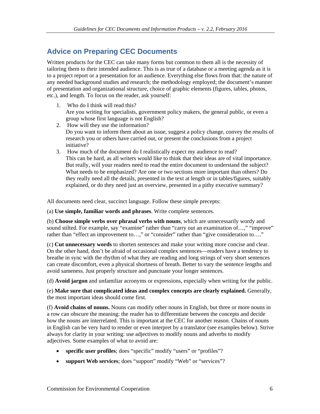# **Advice on Preparing CEC Documents**

Written products for the CEC can take many forms but common to them all is the necessity of tailoring them to their intended audience. This is as true of a database or a meeting agenda as it is to a project report or a presentation for an audience. Everything else flows from that: the nature of any needed background studies and research; the methodology employed; the document's manner of presentation and organizational structure, choice of graphic elements (figures, tables, photos, etc.), and length. To focus on the reader, ask yourself:

- 1. Who do I think will read this? Are you writing for specialists, government policy makers, the general public, or even a group whose first language is not English?
- 2. How will they use the information? Do you want to inform them about an issue, suggest a policy change, convey the results of research you or others have carried out, or present the conclusions from a project initiative?
- 3. How much of the document do I realistically expect my audience to read? This can be hard, as all writers would like to think that their ideas are of vital importance. But really, will your readers need to read the entire document to understand the subject? What needs to be emphasized? Are one or two sections more important than others? Do they really need all the details, presented in the text at length or in tables/figures, suitably explained, or do they need just an overview, presented in a pithy executive summary?

All documents need clear, succinct language. Follow these simple precepts:

(a) **Use simple, familiar words and phrases**. Write complete sentences.

(b) **Choose simple verbs over phrasal verbs with nouns**, which are unnecessarily wordy and sound stilted. For example, say "examine" rather than "carry out an examination of...," "improve" rather than "effect an improvement to...," or "consider" rather than "give consideration to...."

(c) **Cut unnecessary words** to shorten sentences and make your writing more concise and clear. On the other hand, don't be afraid of occasional complex sentences—readers have a tendency to breathe in sync with the rhythm of what they are reading and long strings of very short sentences can create discomfort, even a physical shortness of breath. Better to vary the sentence lengths and avoid sameness. Just properly structure and punctuate your longer sentences.

(d) **Avoid jargon** and unfamiliar acronyms or expressions, especially when writing for the public.

(e) **Make sure that complicated ideas and complex concepts are clearly explained.** Generally, the most important ideas should come first.

(f) **Avoid chains of nouns.** Nouns can modify other nouns in English, but three or more nouns in a row can obscure the meaning: the reader has to differentiate between the concepts and decide how the nouns are interrelated. This is important at the CEC for another reason. Chains of nouns in English can be very hard to render or even interpret by a translator (see examples below). Strive always for clarity in your writing: use adjectives to modify nouns and adverbs to modify adjectives. Some examples of what to avoid are:

- **specific user profiles**; does "specific" modify "users" or "profiles"?
- **support Web services**; does "support" modify "Web" or "services"?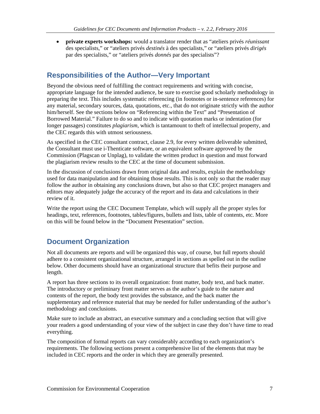• **private experts workshops:** would a translator render that as "ateliers privés *réunissant* des specialists," or "ateliers privés *destinés* à des specialists," or "ateliers privés *dirigés* par des specialists," or "ateliers privés *donnés* par des specialists"?

# **Responsibilities of the Author—Very Important**

Beyond the obvious need of fulfilling the contract requirements and writing with concise, appropriate language for the intended audience, be sure to exercise good scholarly methodology in preparing the text. This includes systematic referencing (in footnotes or in-sentence references) for any material, secondary sources, data, quotations, etc., that do not originate strictly with the author him/herself. See the sections below on "Referencing within the Text" and "Presentation of Borrowed Material." Failure to do so and to indicate with quotation marks or indentation (for longer passages) constitutes *plagiarism*, which is tantamount to theft of intellectual property, and the CEC regards this with utmost seriousness.

As specified in the CEC consultant contract, clause 2.9, for every written deliverable submitted, the Consultant must use i-Thenticate software, or an equivalent software approved by the Commission (Plagscan or Unplag), to validate the written product in question and must forward the plagiarism review results to the CEC at the time of document submission.

In the discussion of conclusions drawn from original data and results, explain the methodology used for data manipulation and for obtaining those results. This is not only so that the reader may follow the author in obtaining any conclusions drawn, but also so that CEC project managers and editors may adequately judge the accuracy of the report and its data and calculations in their review of it.

Write the report using the CEC Document Template, which will supply all the proper styles for headings, text, references, footnotes, tables/figures, bullets and lists, table of contents, etc. More on this will be found below in the "Document Presentation" section.

# **Document Organization**

Not all documents are reports and will be organized this way, of course, but full reports should adhere to a consistent organizational structure, arranged in sections as spelled out in the outline below. Other documents should have an organizational structure that befits their purpose and length.

A report has three sections to its overall organization: front matter, body text, and back matter. The introductory or preliminary front matter serves as the author's guide to the nature and contents of the report, the body text provides the substance, and the back matter the supplementary and reference material that may be needed for fuller understanding of the author's methodology and conclusions.

Make sure to include an abstract, an executive summary and a concluding section that will give your readers a good understanding of your view of the subject in case they don't have time to read everything.

The composition of formal reports can vary considerably according to each organization's requirements. The following sections present a comprehensive list of the elements that may be included in CEC reports and the order in which they are generally presented.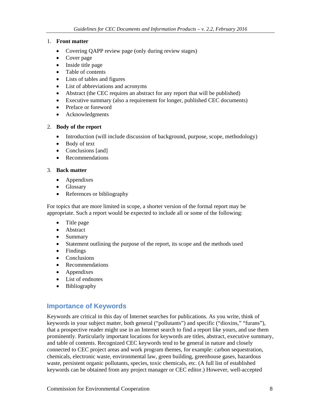### 1. **Front matter**

- Covering QAPP review page (only during review stages)
- Cover page
- Inside title page
- Table of contents
- Lists of tables and figures
- List of abbreviations and acronyms
- Abstract (the CEC requires an abstract for any report that will be published)
- Executive summary (also a requirement for longer, published CEC documents)
- Preface or foreword
- Acknowledgments

### 2. **Body of the report**

- Introduction (will include discussion of background, purpose, scope, methodology)
- Body of text
- Conclusions [and]
- Recommendations

### 3. **Back matter**

- Appendixes
- Glossary
- References or bibliography

For topics that are more limited in scope, a shorter version of the formal report may be appropriate. Such a report would be expected to include all or some of the following:

- Title page
- Abstract
- Summary
- Statement outlining the purpose of the report, its scope and the methods used
- Findings
- Conclusions
- Recommendations
- Appendixes
- List of endnotes
- Bibliography

# **Importance of Keywords**

Keywords are critical in this day of Internet searches for publications. As you write, think of keywords in your subject matter, both general ("pollutants") and specific ("dioxins," "furans"), that a prospective reader might use in an Internet search to find a report like yours, and use them prominently. Particularly important locations for keywords are titles, abstract, executive summary, and table of contents. Recognized CEC keywords tend to be general in nature and closely connected to CEC project areas and work program themes, for example: carbon sequestration, chemicals, electronic waste, environmental law, green building, greenhouse gases, hazardous waste, persistent organic pollutants, species, toxic chemicals, etc. (A full list of established keywords can be obtained from any project manager or CEC editor.) However, well-accepted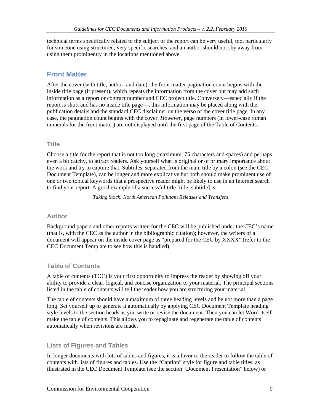technical terms specifically related to the subject of the report can be very useful, too, particularly for someone using structured, very specific searches, and an author should not shy away from using them prominently in the locations mentioned above.

# **Front Matter**

After the cover (with title, author, and date), the front matter pagination count begins with the inside title page (if present), which repeats the information from the cover but may add such information as a report or contract number and CEC project title. Conversely—especially if the report is short and has no inside title page—, this information may be placed along with the publication details and the standard CEC disclaimer on the verso of the cover title page. In any case, the pagination count begins with the cover. *However,* page numbers (in lower-case roman numerals for the front matter) are not displayed until the first page of the Table of Contents.

### **Title**

Choose a title for the report that is not too long (maximum, 75 characters and spaces) and perhaps even a bit catchy, to attract readers. Ask yourself what is original or of primary importance about the work and try to capture that. Subtitles, separated from the main title by a colon (see the CEC Document Template), can be longer and more explicative but both should make prominent use of one or two topical keywords that a prospective reader might be likely to use in an Internet search to find your report. A good example of a successful title [title: subtitle] is:

*Taking Stock: North American Pollutant Releases and Transfers*

### **Author**

Background papers and other reports written for the CEC will be published under the CEC's name (that is, with the CEC as the author in the bibliographic citation); however, the writers of a document will appear on the inside cover page as "prepared for the CEC by XXXX" (refer to the CEC Document Template to see how this is handled).

### **Table of Contents**

A table of contents (TOC) is your first opportunity to impress the reader by showing off your ability to provide a clear, logical, and concise organization to your material. The principal sections listed in the table of contents will tell the reader how you are structuring your material.

The table of contents should have a maximum of three heading levels and be not more than a page long. Set yourself up to generate it automatically by applying CEC Document Template heading style levels to the section heads as you write or revise the document. Then you can let Word itself make the table of contents. This allows you to repaginate and regenerate the table of contents automatically when revisions are made.

### **Lists of Figures and Tables**

In longer documents with lots of tables and figures, it is a favor to the reader to follow the table of contents with lists of figures and tables. Use the "Caption" style for figure and table titles, as illustrated in the CEC Document Template (see the section "Document Presentation" below) or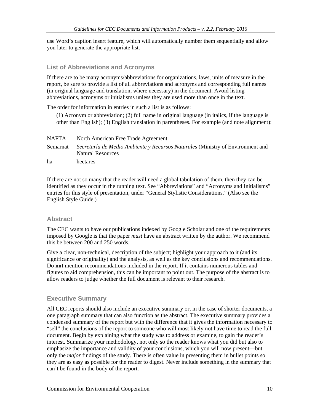use Word's caption insert feature, which will automatically number them sequentially and allow you later to generate the appropriate list.

### **List of Abbreviations and Acronyms**

If there are to be many acronyms/abbreviations for organizations, laws, units of measure in the report, be sure to provide a list of all abbreviations and acronyms and corresponding full names (in original language and translation, where necessary) in the document. Avoid listing abbreviations, acronyms or initialisms unless they are used more than once in the text.

The order for information in entries in such a list is as follows:

(1) Acronym or abbreviation; (2) full name in original language (in italics, if the language is other than English); (3) English translation in parentheses. For example (and note alignment):

| <b>NAFTA</b> | North American Free Trade Agreement                                                                        |
|--------------|------------------------------------------------------------------------------------------------------------|
| Semarnat     | Secretaría de Medio Ambiente y Recursos Naturales (Ministry of Environment and<br><b>Natural Resources</b> |
| ha           | hectares                                                                                                   |

If there are not so many that the reader will need a global tabulation of them, then they can be identified as they occur in the running text. See "Abbreviations" and "Acronyms and Initialisms" entries for this style of presentation, under "General Stylistic Considerations." (Also see the English Style Guide.)

### **Abstract**

The CEC wants to have our publications indexed by Google Scholar and one of the requirements imposed by Google is that the paper *must* have an abstract written by the author. We recommend this be between 200 and 250 words.

Give a clear, non-technical, description of the subject; highlight your approach to it (and its significance or originality) and the analysis, as well as the key conclusions and recommendations. Do **not** mention recommendations included in the report. If it contains numerous tables and figures to aid comprehension, this can be important to point out. The purpose of the abstract is to allow readers to judge whether the full document is relevant to their research.

### **Executive Summary**

All CEC reports should also include an executive summary or, in the case of shorter documents, a one paragraph summary that can also function as the abstract. The executive summary provides a condensed summary of the report but with the difference that it gives the information necessary to "sell" the conclusions of the report to someone who will most likely not have time to read the full document. Begin by explaining what the study was to address or examine, to gain the reader's interest. Summarize your methodology, not only so the reader knows what you did but also to emphasize the importance and validity of your conclusions, which you will now present—but only the *major* findings of the study. There is often value in presenting them in bullet points so they are as easy as possible for the reader to digest. Never include something in the summary that can't be found in the body of the report.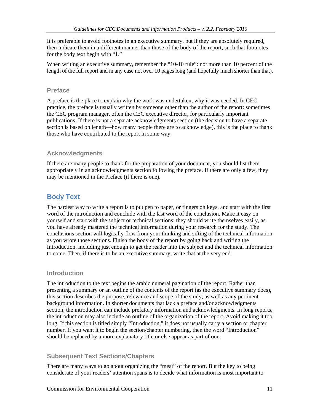It is preferable to avoid footnotes in an executive summary, but if they are absolutely required, then indicate them in a different manner than those of the body of the report, such that footnotes for the body text begin with "1."

When writing an executive summary, remember the "10-10 rule": not more than 10 percent of the length of the full report and in any case not over 10 pages long (and hopefully much shorter than that).

### **Preface**

A preface is the place to explain why the work was undertaken, why it was needed. In CEC practice, the preface is usually written by someone other than the author of the report: sometimes the CEC program manager, often the CEC executive director, for particularly important publications. If there is not a separate acknowledgments section (the decision to have a separate section is based on length—how many people there are to acknowledge), this is the place to thank those who have contributed to the report in some way.

### **Acknowledgments**

If there are many people to thank for the preparation of your document, you should list them appropriately in an acknowledgments section following the preface. If there are only a few, they may be mentioned in the Preface (if there is one).

# **Body Text**

The hardest way to write a report is to put pen to paper, or fingers on keys, and start with the first word of the introduction and conclude with the last word of the conclusion. Make it easy on yourself and start with the subject or technical sections; they should write themselves easily, as you have already mastered the technical information during your research for the study. The conclusions section will logically flow from your thinking and sifting of the technical information as you wrote those sections. Finish the body of the report by going back and writing the Introduction, including just enough to get the reader into the subject and the technical information to come. Then, if there is to be an executive summary, write that at the very end.

### **Introduction**

The introduction to the text begins the arabic numeral pagination of the report. Rather than presenting a summary or an outline of the contents of the report (as the executive summary does), this section describes the purpose, relevance and scope of the study, as well as any pertinent background information. In shorter documents that lack a preface and/or acknowledgments section, the introduction can include prefatory information and acknowledgments. In long reports, the introduction may also include an outline of the organization of the report. Avoid making it too long. If this section is titled simply "Introduction," it does not usually carry a section or chapter number. If you want it to begin the section/chapter numbering, then the word "Introduction" should be replaced by a more explanatory title or else appear as part of one.

# **Subsequent Text Sections/Chapters**

There are many ways to go about organizing the "meat" of the report. But the key to being considerate of your readers' attention spans is to decide what information is most important to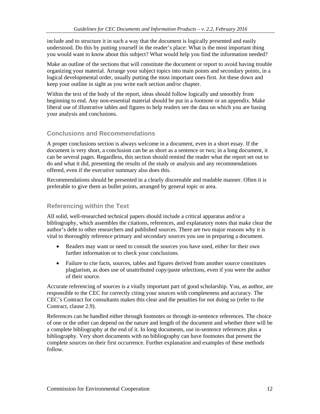include and to structure it in such a way that the document is logically presented and easily understood. Do this by putting yourself in the reader's place: What is the most important thing you would want to know about this subject? What would help you find the information needed?

Make an outline of the sections that will constitute the document or report to avoid having trouble organizing your material. Arrange your subject topics into main points and secondary points, in a logical developmental order, usually putting the most important ones first. Jot these down and keep your outline in sight as you write each section and/or chapter.

Within the text of the body of the report, ideas should follow logically and smoothly from beginning to end. Any non-essential material should be put in a footnote or an appendix. Make liberal use of illustrative tables and figures to help readers see the data on which you are basing your analysis and conclusions.

# **Conclusions and Recommendations**

A proper conclusions section is always welcome in a document, even in a short essay. If the document is very short, a conclusion can be as short as a sentence or two; in a long document, it can be several pages. Regardless, this section should remind the reader what the report set out to do and what it did, presenting the results of the study or analysis and any recommendations offered, even if the executive summary also does this.

Recommendations should be presented in a clearly discernable and readable manner. Often it is preferable to give them as bullet points, arranged by general topic or area.

### **Referencing within the Text**

All solid, well-researched technical papers should include a critical apparatus and/or a bibliography, which assembles the citations, references, and explanatory notes that make clear the author's debt to other researchers and published sources. There are two major reasons why it is vital to thoroughly reference primary and secondary sources you use in preparing a document.

- Readers may want or need to consult the sources you have used, either for their own further information or to check your conclusions.
- Failure to cite facts, sources, tables and figures derived from another source constitutes plagiarism, as does use of unattributed copy/paste selections, even if you were the author of their source.

Accurate referencing of sources is a vitally important part of good scholarship. You, as author, are responsible to the CEC for correctly citing your sources with completeness and accuracy. The CEC's Contract for consultants makes this clear and the penalties for not doing so (refer to the Contract, clause 2.9).

References can be handled either through footnotes or through in-sentence references. The choice of one or the other can depend on the nature and length of the document and whether there will be a complete bibliography at the end of it. In long documents, use in-sentence references plus a bibliography. Very short documents with no bibliography can have footnotes that present the complete sources on their first occurrence. Further explanation and examples of these methods follow.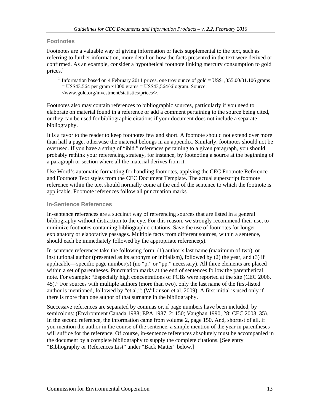#### **Footnotes**

Footnotes are a valuable way of giving information or facts supplemental to the text, such as referring to further information, more detail on how the facts presented in the text were derived or confirmed. As an example, consider a hypothetical footnote linking mercury consumption to gold prices. $<sup>1</sup>$ </sup>

<sup>1</sup> Information based on 4 February 2011 prices, one troy ounce of gold =  $USS1,355.00/31.106$  grams  $=$  US\$43.564 per gram x1000 grams  $=$  US\$43,564/kilogram. Source: <www.gold.org/investment/statistics/prices/>.

Footnotes also may contain references to bibliographic sources, particularly if you need to elaborate on material found in a reference or add a comment pertaining to the source being cited, or they can be used for bibliographic citations if your document does not include a separate bibliography.

It is a favor to the reader to keep footnotes few and short. A footnote should not extend over more than half a page, otherwise the material belongs in an appendix. Similarly, footnotes should not be overused. If you have a string of "ibid." references pertaining to a given paragraph, you should probably rethink your referencing strategy, for instance, by footnoting a source at the beginning of a paragraph or section where all the material derives from it.

Use Word's automatic formatting for handling footnotes, applying the CEC Footnote Reference and Footnote Text styles from the CEC Document Template. The actual superscript footnote reference within the text should normally come at the end of the sentence to which the footnote is applicable. Footnote references follow all punctuation marks.

### **In-Sentence References**

In-sentence references are a succinct way of referencing sources that are listed in a general bibliography without distraction to the eye. For this reason, we strongly recommend their use, to minimize footnotes containing bibliographic citations. Save the use of footnotes for longer explanatory or elaborative passages. Multiple facts from different sources, within a sentence, should each be immediately followed by the appropriate reference(s).

In-sentence references take the following form: (1) author's last name (maximum of two), or institutional author (presented as its acronym or initialism), followed by (2) the year, and (3) if applicable—specific page number(s) (no "p." or "pp." necessary). All three elements are placed within a set of parentheses. Punctuation marks at the end of sentences follow the parenthetical note. For example: "Especially high concentrations of PCBs were reported at the site (CEC 2006, 45)." For sources with multiple authors (more than two), only the last name of the first-listed author is mentioned, followed by "et al.": (Wilkinson et al. 2009). A first initial is used only if there is more than one author of that surname in the bibliography.

Successive references are separated by commas or, if page numbers have been included, by semicolons: (Environment Canada 1988; EPA 1987, 2: 150; Vaughan 1990, 28; CEC 2003, 35). In the second reference, the information came from volume 2, page 150. And, shortest of all, if you mention the author in the course of the sentence, a simple mention of the year in parentheses will suffice for the reference. Of course, in-sentence references absolutely must be accompanied in the document by a complete bibliography to supply the complete citations. [See entry "Bibliography or References List" under "Back Matter" below.]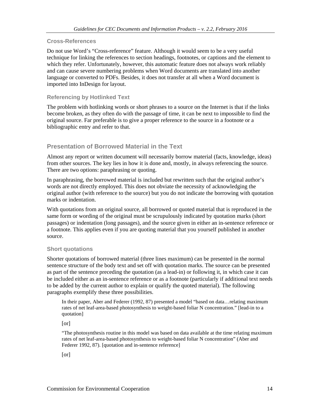### **Cross-References**

Do not use Word's "Cross-reference" feature. Although it would seem to be a very useful technique for linking the references to section headings, footnotes, or captions and the element to which they refer. Unfortunately, however, this automatic feature does not always work reliably and can cause severe numbering problems when Word documents are translated into another language or converted to PDFs. Besides, it does not transfer at all when a Word document is imported into InDesign for layout.

### **Referencing by Hotlinked Text**

The problem with hotlinking words or short phrases to a source on the Internet is that if the links become broken, as they often do with the passage of time, it can be next to impossible to find the original source. Far preferable is to give a proper reference to the source in a footnote or a bibliographic entry and refer to that.

### **Presentation of Borrowed Material in the Text**

Almost any report or written document will necessarily borrow material (facts, knowledge, ideas) from other sources. The key lies in how it is done and, mostly, in always referencing the source. There are two options: paraphrasing or quoting.

In paraphrasing, the borrowed material is included but rewritten such that the original author's words are not directly employed. This does not obviate the necessity of acknowledging the original author (with reference to the source) but you do not indicate the borrowing with quotation marks or indentation.

With quotations from an original source, all borrowed or quoted material that is reproduced in the same form or wording of the original must be scrupulously indicated by quotation marks (short passages) or indentation (long passages), and the source given in either an in-sentence reference or a footnote. This applies even if you are quoting material that you yourself published in another source.

### **Short quotations**

Shorter quotations of borrowed material (three lines maximum) can be presented in the normal sentence structure of the body text and set off with quotation marks. The source can be presented as part of the sentence preceding the quotation (as a lead-in) or following it, in which case it can be included either as an in-sentence reference or as a footnote (particularly if additional text needs to be added by the current author to explain or qualify the quoted material). The following paragraphs exemplify these three possibilities.

In their paper, Aber and Federer (1992, 87) presented a model "based on data…relating maximum rates of net leaf-area-based photosynthesis to weight-based foliar N concentration." [lead-in to a quotation]

[or]

"The photosynthesis routine in this model was based on data available at the time relating maximum rates of net leaf-area-based photosynthesis to weight-based foliar N concentration" (Aber and Federer 1992, 87). [quotation and in-sentence reference]

[or]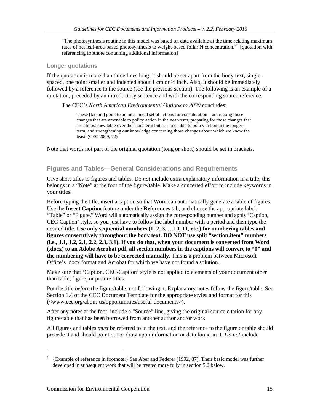"The photosynthesis routine in this model was based on data available at the time relating maximum rates of net leaf-area-based photosynthesis to weight-based foliar N concentration."<sup>[1](#page-14-0)</sup> [quotation with referencing footnote containing additional information]

### **Longer quotations**

If the quotation is more than three lines long, it should be set apart from the body text, singlespaced, one point smaller and indented about 1 cm or  $\frac{1}{2}$  inch. Also, it should be immediately followed by a reference to the source (see the previous section). The following is an example of a quotation, preceded by an introductory sentence and with the corresponding source reference.

#### The CEC's *North American Environmental Outlook to 2030* concludes:

These [factors] point to an interlinked set of actions for consideration—addressing those changes that are amenable to policy action in the near-term, preparing for those changes that are almost inevitable over the short-term but are amenable to policy action in the longerterm, and strengthening our knowledge concerning those changes about which we know the least. (CEC 2009, 72)

Note that words not part of the original quotation (long or short) should be set in brackets.

### **Figures and Tables—General Considerations and Requirements**

Give short titles to figures and tables. Do *not* include extra explanatory information in a title; this belongs in a "Note" at the foot of the figure/table. Make a concerted effort to include keywords in your titles.

Before typing the title, insert a caption so that Word can automatically generate a table of figures. Use the **Insert Caption** feature under the **References** tab, and choose the appropriate label: "Table" or "Figure." Word will automatically assign the corresponding number and apply 'Caption, CEC-Caption' style, so you just have to follow the label number with a period and then type the desired title. **Use only sequential numbers (1, 2, 3, …10, 11, etc.) for numbering tables and figures consecutively throughout the body text. DO NOT use split "section.item" numbers (i.e., 1.1, 1.2, 2.1, 2.2, 2.3, 3.1). If you do that, when your document is converted from Word (.docx) to an Adobe Acrobat pdf, all section numbers in the captions will convert to "0" and the numbering will have to be corrected manually.** This is a problem between Microsoft Office's .docx format and Acrobat for which we have not found a solution.

Make sure that 'Caption, CEC-Caption' style is not applied to elements of your document other than table, figure, or picture titles.

Put the title *before* the figure/table, not following it. Explanatory notes follow the figure/table. See Section 1.4 of the CEC Document Template for the appropriate styles and format for this (<www.cec.org/about-us/opportunities/useful-documents>).

After any notes at the foot, include a "Source" line, giving the original source citation for any figure/table that has been borrowed from another author and/or work.

All figures and tables *must* be referred to in the text, and the reference to the figure or table should precede it and should point out or draw upon information or data found in it. *Do not* include

 $\overline{a}$ 

<span id="page-14-0"></span><sup>&</sup>lt;sup>1</sup> {Example of reference in footnote:} See Aber and Federer (1992, 87). Their basic model was further developed in subsequent work that will be treated more fully in section 5.2 below.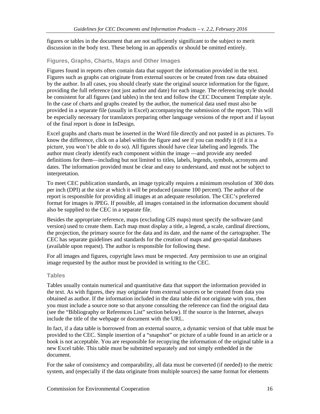figures or tables in the document that are not sufficiently significant to the subject to merit discussion in the body text. These belong in an appendix or should be omitted entirely.

### **Figures, Graphs, Charts, Maps and Other Images**

Figures found in reports often contain data that support the information provided in the text. Figures such as graphs can originate from external sources or be created from raw data obtained by the author. In all cases, you should clearly state the original source information for the figure, providing the full reference (not just author and date) for each image. The referencing style should be consistent for all figures (and tables) in the text and follow the CEC Document Template style. In the case of charts and graphs created by the author, the numerical data used must also be provided in a separate file (usually in Excel) accompanying the submission of the report. This will be especially necessary for translators preparing other language versions of the report and if layout of the final report is done in InDesign.

Excel graphs and charts must be inserted in the Word file directly and not pasted in as pictures. To know the difference, click on a label within the figure and see if you can modify it (if it is a picture, you won't be able to do so). All figures should have clear labeling and legends. The author must clearly identify each component within the image —and provide any needed definitions for them—including but not limited to titles, labels, legends, symbols, acronyms and dates. The information provided must be clear and easy to understand, and must not be subject to interpretation.

To meet CEC publication standards, an image typically requires a minimum resolution of 300 dots per inch (DPI) at the size at which it will be produced (assume 100 percent). The author of the report is responsible for providing all images at an adequate resolution. The CEC's preferred format for images is JPEG. If possible, all images contained in the information document should also be supplied to the CEC in a separate file.

Besides the appropriate reference, maps (excluding GIS maps) must specify the software (and version) used to create them. Each map must display a title, a legend, a scale, cardinal directions, the projection, the primary source for the data and its date, and the name of the cartographer. The CEC has separate guidelines and standards for the creation of maps and geo-spatial databases (available upon request). The author is responsible for following these.

For all images and figures, copyright laws must be respected. Any permission to use an original image requested by the author must be provided in writing to the CEC.

### **Tables**

Tables usually contain numerical and quantitative data that support the information provided in the text. As with figures, they may originate from external sources or be created from data you obtained as author. If the information included in the data table did not originate with you, then you must include a source note so that anyone consulting the reference can find the original data (see the "Bibliography or References List" section below). If the source is the Internet, always include the title of the webpage or document with the URL.

In fact, if a data table is borrowed from an external source, a dynamic version of that table must be provided to the CEC. Simple insertion of a "snapshot" or picture of a table found in an article or a book is not acceptable. You are responsible for recopying the information of the original table in a new Excel table. This table must be submitted separately and not simply embedded in the document.

For the sake of consistency and comparability, all data must be converted (if needed) to the metric system, and (especially if the data originate from multiple sources) the same format for elements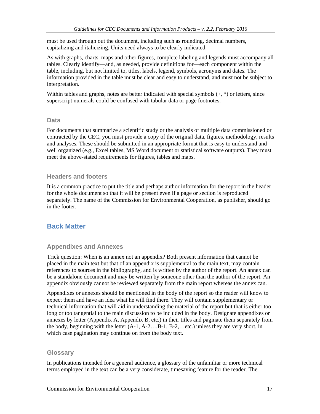must be used through out the document, including such as rounding, decimal numbers, capitalizing and italicizing. Units need always to be clearly indicated.

As with graphs, charts, maps and other figures, complete labeling and legends must accompany all tables. Clearly identify—and, as needed, provide definitions for—each component within the table, including, but not limited to, titles, labels, legend, symbols, acronyms and dates. The information provided in the table must be clear and easy to understand, and must not be subject to interpretation.

Within tables and graphs, notes are better indicated with special symbols  $(†, *)$  or letters, since superscript numerals could be confused with tabular data or page footnotes.

### **Data**

For documents that summarize a scientific study or the analysis of multiple data commissioned or contracted by the CEC, you must provide a copy of the original data, figures, methodology, results and analyses. These should be submitted in an appropriate format that is easy to understand and well organized (e.g., Excel tables, MS Word document or statistical software outputs). They must meet the above-stated requirements for figures, tables and maps.

### **Headers and footers**

It is a common practice to put the title and perhaps author information for the report in the header for the whole document so that it will be present even if a page or section is reproduced separately. The name of the Commission for Environmental Cooperation, as publisher, should go in the footer.

# **Back Matter**

### **Appendixes and Annexes**

Trick question: When is an annex not an appendix? Both present information that cannot be placed in the main text but that of an appendix is supplemental to the main text, may contain references to sources in the bibliography, and is written by the author of the report. An annex can be a standalone document and may be written by someone other than the author of the report. An appendix obviously cannot be reviewed separately from the main report whereas the annex can.

Appendixes or annexes should be mentioned in the body of the report so the reader will know to expect them and have an idea what he will find there. They will contain supplementary or technical information that will aid in understanding the material of the report but that is either too long or too tangential to the main discussion to be included in the body. Designate appendixes or annexes by letter (Appendix A, Appendix B, etc.) in their titles and paginate them separately from the body, beginning with the letter  $(A-1, A-2...B-1, B-2...$ etc.) unless they are very short, in which case pagination may continue on from the body text.

### **Glossary**

In publications intended for a general audience, a glossary of the unfamiliar or more technical terms employed in the text can be a very considerate, timesaving feature for the reader. The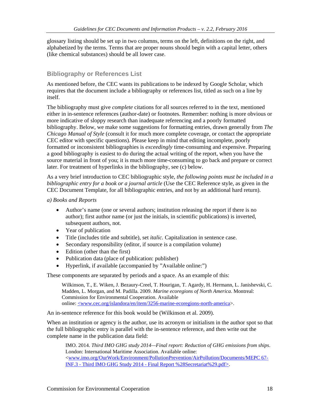glossary listing should be set up in two columns, terms on the left, definitions on the right, and alphabetized by the terms. Terms that are proper nouns should begin with a capital letter, others (like chemical substances) should be all lower case.

### **Bibliography or References List**

As mentioned before, the CEC wants its publications to be indexed by Google Scholar, which requires that the document include a bibliography or references list, titled as such on a line by itself.

The bibliography must give *complete* citations for all sources referred to in the text, mentioned either in in-sentence references (author-date) or footnotes. Remember: nothing is more obvious or more indicative of sloppy research than inadequate referencing and a poorly formatted bibliography. Below, we make some suggestions for formatting entries, drawn generally from *The Chicago Manual of Style* (consult it for much more complete coverage, or contact the appropriate CEC editor with specific questions). Please keep in mind that editing incomplete, poorly formatted or inconsistent bibliographies is *exceedingly* time-consuming and expensive. Preparing a good bibliography is easiest to do during the actual writing of the report, when you have the source material in front of you; it is much more time-consuming to go back and prepare or correct later. For treatment of hyperlinks in the bibliography, see (c) below.

As a very brief introduction to CEC bibliographic style, *the following points must be included in a bibliographic entry for a book or a journal article* (Use the CEC Reference style, as given in the CEC Document Template, for all bibliographic entries, and not by an additional hard return).

#### *a) Books and Reports*

- Author's name (one or several authors; institution releasing the report if there is no author); first author name (or just the initials, in scientific publications) is inverted, subsequent authors, not.
- Year of publication
- Title (includes title and subtitle), set *italic.* Capitalization in sentence case.
- Secondary responsibility (editor, if source is a compilation volume)
- Edition (other than the first)
- Publication data (place of publication: publisher)
- Hyperlink, if available (accompanied by "Available online:")

These components are separated by periods and a space. As an example of this:

Wilkinson, T., E. Wiken, J. Bezaury-Creel, T. Hourigan, T. Agardy, H. Hermann, L. Janishevski, C. Madden, L. Morgan, and M. Padilla. 2009. *Marine ecoregions of North America*. Montreal: Commission for Environmental Cooperation. Available online: <www.cec.org/islandora/en/item/3256-marine-ecoregions-north-america>.

An in-sentence reference for this book would be (Wilkinson et al. 2009).

When an institution or agency is the author, use its acronym or initialism in the author spot so that the full bibliographic entry is parallel with the in-sentence reference, and then write out the complete name in the publication data field:

IMO. 2014. *Third IMO GHG study 2014—Final report: Reduction of GHG emissions from ships*. London: International Maritime Association. Available online: [<www.imo.org/OurWork/Environment/PollutionPrevention/AirPollution/Documents/MEPC 67-](http://www.imo.org/OurWork/Environment/PollutionPrevention/AirPollution/Documents/MEPC%2067-INF.3%20-%20Third%20IMO%20GHG%20Study%202014%20-%20Final%20Report%20%28Secretariat%29.pdf) INF.3 - Third IMO GHG Study 2014 - [Final Report %28Secretariat%29.pdf>](http://www.imo.org/OurWork/Environment/PollutionPrevention/AirPollution/Documents/MEPC%2067-INF.3%20-%20Third%20IMO%20GHG%20Study%202014%20-%20Final%20Report%20%28Secretariat%29.pdf).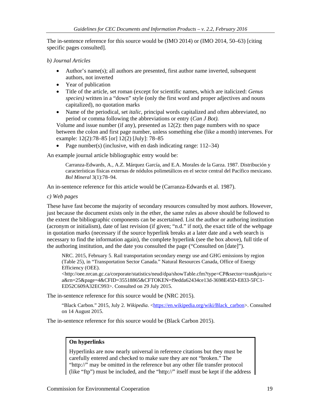The in-sentence reference for this source would be (IMO 2014) or (IMO 2014, 50–63) [citing specific pages consulted].

#### *b) Journal Articles*

- Author's name(s); all authors are presented, first author name inverted, subsequent authors, not inverted
- Year of publication
- Title of the article, set roman (except for scientific names, which are italicized: *Genus species)* written in a "down" style (only the first word and proper adjectives and nouns capitalized), no quotation marks
- Name of the periodical, set *italic,* principal words capitalized and often abbreviated, no period or comma following the abbreviations or entry (*Can J Bot).*

Volume and issue number (if any), presented as 12(2): then page numbers with no space between the colon and first page number, unless something else (like a month) intervenes. For example: 12(2):78–85 [or] 12(2) [July]: 78–85

• Page number(s) (inclusive, with en dash indicating range: 112–34)

An example journal article bibliographic entry would be:

Carranza-Edwards, A., A.Z. Márquez García, and E.A. Morales de la Garza. 1987. Distribución y características físicas externas de nódulos polimetálicos en el sector central del Pacífico mexicano. *Bol Mineral* 3(1):78–94.

An in-sentence reference for this article would be (Carranza-Edwards et al. 1987).

*c) Web pages*

These have fast become the majority of secondary resources consulted by most authors. However, just because the document exists only in the ether, the same rules as above should be followed to the extent the bibliographic components can be ascertained. List the author or authoring institution (acronym or initialism), date of last revision (if given; "n.d." if not), the exact title of the webpage in quotation marks (necessary if the source hyperlink breaks at a later date and a web search is necessary to find the information again), the complete hyperlink (see the box above), full title of the authoring institution, and the date you consulted the page ("Consulted on [date]").

NRC. 2015, February 5. Rail transportation secondary energy use and GHG emissions by region (Table 25), in "Transportation Sector Canada." Natural Resources Canada, Office of Energy Efficiency (OEE).

[<http://oee.nrcan.gc.ca/corporate/statistics/neud/dpa/showTable.cfm?type=CP&sector=tran&juris=c](http://oee.nrcan.gc.ca/corporate/statistics/neud/dpa/showTable.cfm?type=CP§or=tran&juris=ca&rn=25&page=4&CFID=35518865&CFTOKEN=f9edda62434ce13d-3698E45D-E833-5FC1-ED52C609A32EC993) [a&rn=25&page=4&CFID=35518865&CFTOKEN=f9edda62434ce13d-3698E45D-E833-5FC1-](http://oee.nrcan.gc.ca/corporate/statistics/neud/dpa/showTable.cfm?type=CP§or=tran&juris=ca&rn=25&page=4&CFID=35518865&CFTOKEN=f9edda62434ce13d-3698E45D-E833-5FC1-ED52C609A32EC993) [ED52C609A32EC993>](http://oee.nrcan.gc.ca/corporate/statistics/neud/dpa/showTable.cfm?type=CP§or=tran&juris=ca&rn=25&page=4&CFID=35518865&CFTOKEN=f9edda62434ce13d-3698E45D-E833-5FC1-ED52C609A32EC993). Consulted on 29 July 2015.

The in-sentence reference for this source would be (NRC 2015).

"Black Carbon." 2015, July 2. *Wikipedia.* [<https://en.wikipedia.org/wiki/Black\\_carbon>](https://en.wikipedia.org/wiki/Black_carbon). Consulted on 14 August 2015.

The in-sentence reference for this source would be (Black Carbon 2015).

### **On hyperlinks**

Hyperlinks are now nearly universal in reference citations but they must be carefully entered and checked to make sure they are not "broken." The "http://" may be omitted in the reference but any other file transfer protocol (like "ftp") must be included, and the "http://" itself must be kept if the address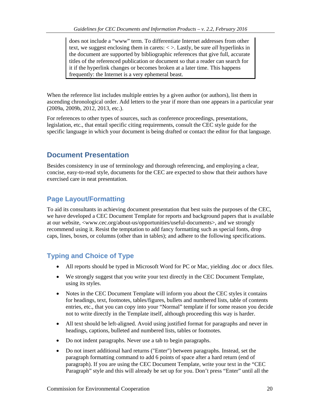does not include a "www" term. To differentiate Internet addresses from other text, we suggest enclosing them in carets: < >. Lastly, be sure *all* hyperlinks in the document are supported by bibliographic references that give full, accurate titles of the referenced publication or document so that a reader can search for it if the hyperlink changes or becomes broken at a later time. This happens frequently: the Internet is a very ephemeral beast.

When the reference list includes multiple entries by a given author (or authors), list them in ascending chronological order. Add letters to the year if more than one appears in a particular year (2009a, 2009b, 2012, 2013, etc.).

For references to other types of sources, such as conference proceedings, presentations, legislation, etc., that entail specific citing requirements, consult the CEC style guide for the specific language in which your document is being drafted or contact the editor for that language.

# **Document Presentation**

Besides consistency in use of terminology and thorough referencing, and employing a clear, concise, easy-to-read style, documents for the CEC are expected to show that their authors have exercised care in neat presentation.

# **Page Layout/Formatting**

To aid its consultants in achieving document presentation that best suits the purposes of the CEC, we have developed a CEC Document Template for reports and background papers that is available at our website, <www.cec.org/about-us/opportunities/useful-documents>, and we strongly recommend using it. Resist the temptation to add fancy formatting such as special fonts, drop caps, lines, boxes, or columns (other than in tables); and adhere to the following specifications.

# **Typing and Choice of Type**

- All reports should be typed in Microsoft Word for PC or Mac, yielding .doc or .docx files.
- We strongly suggest that you write your text directly in the CEC Document Template, using its styles.
- Notes in the CEC Document Template will inform you about the CEC styles it contains for headings, text, footnotes, tables/figures, bullets and numbered lists, table of contents entries, etc., that you can copy into your "Normal" template if for some reason you decide not to write directly in the Template itself, although proceeding this way is harder.
- All text should be left-aligned. Avoid using justified format for paragraphs and never in headings, captions, bulleted and numbered lists, tables or footnotes.
- Do not indent paragraphs. Never use a tab to begin paragraphs.
- Do not insert additional hard returns ("Enter") between paragraphs. Instead, set the paragraph formatting command to add 6 points of space after a hard return (end of paragraph). If you are using the CEC Document Template, write your text in the "CEC Paragraph" style and this will already be set up for you. Don't press "Enter" until all the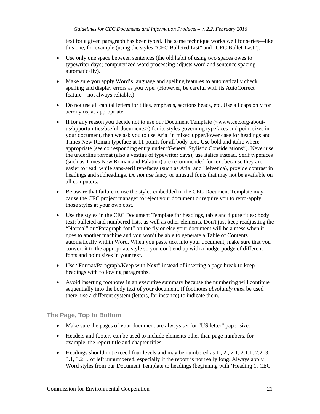text for a given paragraph has been typed. The same technique works well for series—like this one, for example (using the styles "CEC Bulleted List" and "CEC Bullet-Last").

- Use only one space between sentences (the old habit of using two spaces owes to typewriter days; computerized word processing adjusts word and sentence spacing automatically).
- Make sure you apply Word's language and spelling features to automatically check spelling and display errors as you type. (However, be careful with its AutoCorrect feature—not always reliable.)
- Do not use all capital letters for titles, emphasis, sections heads, etc. Use all caps only for acronyms, as appropriate.
- If for any reason you decide not to use our Document Template (<www.cec.org/aboutus/opportunities/useful-documents>) for its styles governing typefaces and point sizes in your document, then we ask you to use Arial in mixed upper/lower case for headings and Times New Roman typeface at 11 points for all body text. Use bold and italic where appropriate (see corresponding entry under "General Stylistic Considerations"). Never use the underline format (also a vestige of typewriter days); use italics instead. Serif typefaces (such as Times New Roman and Palatino) are recommended for text because they are easier to read, while sans-serif typefaces (such as Arial and Helvetica), provide contrast in headings and subheadings. *Do not use* fancy or unusual fonts that may not be available on all computers.
- Be aware that failure to use the styles embedded in the CEC Document Template may cause the CEC project manager to reject your document or require you to retro-apply those styles at your own cost.
- Use the styles in the CEC Document Template for headings, table and figure titles; body text; bulleted and numbered lists, as well as other elements. Don't just keep readjusting the "Normal" or "Paragraph font" on the fly or else your document will be a mess when it goes to another machine and you won't be able to generate a Table of Contents automatically within Word. When you paste text into your document, make sure that you convert it to the appropriate style so you don't end up with a hodge-podge of different fonts and point sizes in your text.
- Use "Format/Paragraph/Keep with Next" instead of inserting a page break to keep headings with following paragraphs.
- Avoid inserting footnotes in an executive summary because the numbering will continue sequentially into the body text of your document. If footnotes *absolutely must* be used there, use a different system (letters, for instance) to indicate them.

**The Page, Top to Bottom**

- Make sure the pages of your document are always set for "US letter" paper size.
- Headers and footers can be used to include elements other than page numbers, for example, the report title and chapter titles.
- Headings should not exceed four levels and may be numbered as  $1, 2, 2, 1, 2, 1, 1, 2, 2, 3$ , 3.1, 3.2… or left unnumbered, especially if the report is not really long. Always apply Word styles from our Document Template to headings (beginning with 'Heading 1, CEC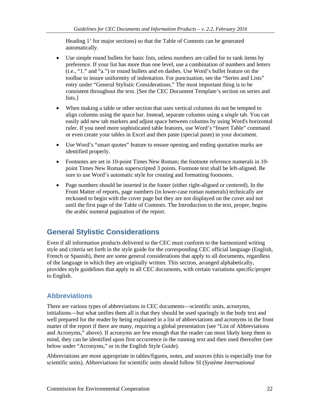Heading 1' for major sections) so that the Table of Contents can be generated automatically.

- Use simple round bullets for basic lists, unless numbers are called for to rank items by preference. If your list has more than one level, use a combination of numbers and letters (i.e., "1." and "a.") or round bullets and en dashes. Use Word's bullet feature on the toolbar to insure uniformity of indentation. For punctuation, see the "Series and Lists" entry under "General Stylistic Considerations." The most important thing is to be consistent throughout the text. [See the CEC Document Template's section on series and lists.]
- When making a table or other section that uses vertical columns do not be tempted to align columns using the space bar. Instead, separate columns using a *single* tab. You can easily add new tab markers and adjust space between columns by using Word's horizontal ruler. If you need more sophisticated table features, use Word's "Insert Table" command or even create your tables in Excel and then paste (special paste) in your document.
- Use Word's "smart quotes" feature to ensure opening and ending quotation marks are identified properly.
- Footnotes are set in 10-point Times New Roman; the footnote reference numerals in 10point Times New Roman superscripted 3 points. Footnote text shall be left-aligned. Be sure to use Word's automatic style for creating and formatting footnotes.
- Page numbers should be inserted in the footer (either right-aligned or centered). In the Front Matter of reports, page numbers (in lower-case roman numerals) technically are reckoned to begin with the cover page but they are not displayed on the cover and not until the first page of the Table of Contents. The Introduction to the text, proper, begins the arabic numeral pagination of the report.

# **General Stylistic Considerations**

Even if all information products delivered to the CEC must conform to the harmonized writing style and criteria set forth in the style guide for the corresponding CEC official language (English, French or Spanish), there are some general considerations that apply to all documents, regardless of the language in which they are originally written. This section, arranged alphabetically, provides style guidelines that apply to all CEC documents, with certain variations specific/proper to English.

# **Abbreviations**

There are various types of abbreviations in CEC documents—scientific units, acronyms, initialisms—but what unifies them all is that they should be used sparingly in the body text and well prepared for the reader by being explained in a list of abbreviations and acronyms in the front matter of the report if there are many, requiring a global presentation (see "List of Abbreviations and Acronyms," above). If acronyms are few enough that the reader can most likely keep them in mind, they can be identified upon first occurrence in the running text and then used thereafter (see below under "Acronyms," or in the English Style Guide).

Abbreviations are more appropriate in tables/figures, notes, and sources (this is especially true for scientific units). Abbreviations for scientific units should follow SI (*Système International*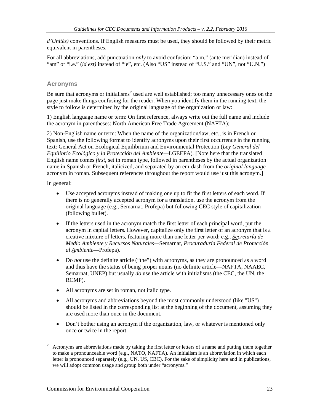*d'Unités)* conventions. If English measures must be used, they should be followed by their metric equivalent in parentheses.

For all abbreviations, add punctuation *only* to avoid confusion: "a.m." (ante meridian) instead of "am" or "i.e." (*id est)* instead of "ie", etc. (Also "US" instead of "U.S." and "UN", not "U.N.")

### **Acronyms**

Be sure that acronyms or initialisms<sup>[2](#page-22-0)</sup> used are well established; too many unnecessary ones on the page just make things confusing for the reader. When you identify them in the running text, the style to follow is determined by the original language of the organization or law:

1) English language name or term: On first reference, always write out the full name and include the acronym in parentheses: North American Free Trade Agreement (NAFTA);

2) Non-English name or term: When the name of the organization/law, etc., is in French or Spanish, use the following format to identify acronyms upon their first occurrence in the running text: General Act on Ecological Equilibrium and Environmental Protection (*Ley General del Equilibrio Ecológico y la Protección del Ambiente—*LGEEPA)*.* [Note here that the translated English name comes *first*, set in roman type, followed in parentheses by the actual organization name in Spanish or French, italicized, and separated by an em-dash from the *original language* acronym in roman. Subsequent references throughout the report would use just this acronym.]

In general:

 $\overline{a}$ 

- Use accepted acronyms instead of making one up to fit the first letters of each word. If there is no generally accepted acronym for a translation, use the acronym from the original language (e.g., Semarnat, Profepa) but following CEC style of capitalization (following bullet).
- If the letters used in the acronym match the first letter of each principal word, put the acronym in capital letters. However, capitalize only the first letter of an acronym that is a creative mixture of letters, featuring more than one letter per word: e.g., *Secretaría de Medio Ambiente y Recursos Naturales—*Semarnat, *Procuraduría Federal de Protección al Ambiente*—Profepa).
- Do *not* use the definite article ("the") with acronyms, as they are pronounced as a word and thus have the status of being proper nouns (no definite article—NAFTA, NAAEC, Semarnat, UNEP) but usually *do* use the article with initialisms (the CEC, the UN, the RCMP).
- All acronyms are set in roman, not italic type.
- All acronyms and abbreviations beyond the most commonly understood (like "US") should be listed in the corresponding list at the beginning of the document, assuming they are used more than once in the document.
- Don't bother using an acronym if the organization, law, or whatever is mentioned only once or twice in the report.

<span id="page-22-0"></span><sup>&</sup>lt;sup>2</sup> Acronyms are abbreviations made by taking the first letter or letters of a name and putting them together to make a pronounceable word (e.g., NATO, NAFTA). An initialism is an abbreviation in which each letter is pronounced separately (e.g., UN, US, CBC). For the sake of simplicity here and in publications, we will adopt common usage and group both under "acronyms."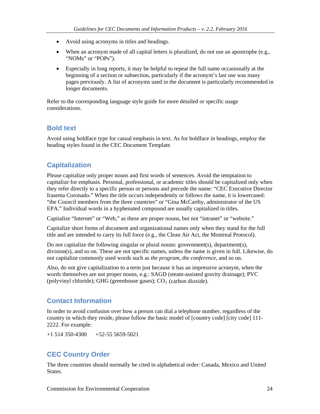- Avoid using acronyms in titles and headings.
- When an acronym made of all capital letters is pluralized, do not use an apostrophe (e.g., "NOMs" or "POPs").
- Especially in long reports, it may be helpful to repeat the full name occasionally at the beginning of a section or subsection, particularly if the acronym's last use was many pages previously. A list of acronyms used in the document is particularly recommended in longer documents.

Refer to the corresponding language style guide for more detailed or specific usage considerations.

# **Bold text**

Avoid using boldface type for casual emphasis in text. As for boldface in headings, employ the heading styles found in the CEC Document Template.

# **Capitalization**

Please capitalize only proper nouns and first words of sentences. Avoid the temptation to capitalize for emphasis. Personal, professional, or academic titles should be capitalized only when they refer directly to a specific person or persons and precede the name: "CEC Executive Director Irasema Coronado." When the title occurs independently or follows the name, it is lowercased: "the Council members from the three countries" or "Gina McCarthy, administrator of the US EPA." Individual words in a hyphenated compound are usually capitalized in titles.

Capitalize "Internet" or "Web," as these are proper nouns, but not "intranet" or "website."

Capitalize short forms of document and organizational names only when they stand for the full title and are intended to carry its full force (e.g., the Clean Air Act, the Montreal Protocol).

Do not capitalize the following singular or plural nouns: government(s), department(s), division(s), and so on. These are not specific names, unless the name is given in full. Likewise, do not capitalize commonly used words such as *the program*, *the conference*, and so on.

Also, do not give capitalization to a term just because it has an impressive acronym, when the words themselves are not proper nouns, e.g.: SAGD (steam-assisted gravity drainage); PVC (polyvinyl chloride); GHG (greenhouse gases);  $CO<sub>2</sub>$  (carbon dioxide).

# **Contact Information**

In order to avoid confusion over how a person can dial a telephone number, regardless of the country in which they reside, please follow the basic model of [country code] [city code] 111- 2222. For example:

 $+1$  514 350-4300  $+52-55$  5659-5021

# **CEC Country Order**

The three countries should normally be cited in alphabetical order: Canada, Mexico and United States.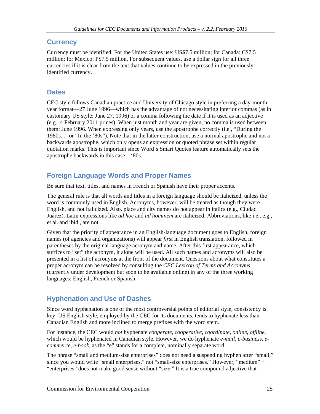# **Currency**

Currency must be identified. For the United States use: US\$7.5 million; for Canada: C\$7.5 million; for Mexico: P\$7.5 million. For subsequent values, use a dollar sign for all three currencies if it is clear from the text that values continue to be expressed in the previously identified currency.

# **Dates**

CEC style follows Canadian practice and University of Chicago style in preferring a day-monthyear format—27 June 1996—which has the advantage of not necessitating interior commas (as in customary US style: June 27, 1996) or a comma following the date if it is used as an adjective (e.g., 4 February 2011 prices). When just month and year are given, no comma is used between them: June 1996. When expressing only years, use the apostrophe correctly (i.e., "During the 1980s..." or "In the '80s"). Note that in the latter construction, use a normal apostrophe and not a backwards apostrophe, which only opens an expression or quoted phrase set within regular quotation marks. This is important since Word's Smart Quotes feature automatically sets the apostrophe backwards in this case—'80s.

# **Foreign Language Words and Proper Names**

Be sure that text, titles, and names in French or Spanish have their proper accents.

The general rule is that all words and titles in a foreign language should be italicized, unless the word is commonly used in English. Acronyms, however, will be treated as though they were English, and not italicized. Also, place and city names do not appear in italics (e.g., Ciudad Juárez). Latin expressions like *ad hoc* and *ad hominem* are italicized. Abbreviations, like i.e., e.g., et al. and ibid., are not.

Given that the priority of appearance in an English-language document goes to English, foreign names (of agencies and organizations) will appear *first* in English translation, followed in parentheses by the original language acronym and name. After this first appearance, which suffices to "set" the acronym, it alone will be used. All such names and acronyms will also be presented in a list of acronyms at the front of the document. Questions about what constitutes a proper acronym can be resolved by consulting the *CEC Lexicon of Terms and Acronyms* (currently under development but soon to be available online) in any of the three working languages: English, French or Spanish.

# **Hyphenation and Use of Dashes**

Since word hyphenation is one of the most controversial points of editorial style, consistency is key. US English style, employed by the CEC for its documents, tends to hyphenate less than Canadian English and more inclined to merge prefixes with the word stem.

For instance, the CEC would *not* hyphenate *cooperate, cooperative, coordinate, online, offline*, which would be hyphenated in Canadian style. However, we do hyphenate *e-mail, e-business, ecommerce, e-book,* as the "e" stands for a complete, nominally separate word.

The phrase "small and medium-size enterprises" does not need a suspending hyphen after "small," since you would write "small enterprises," not "small-size enterprises." However, "medium" + "enterprises" does not make good sense without "size*.*" It is a true compound adjective that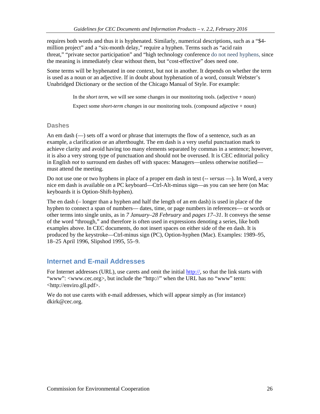requires both words and thus it is hyphenated. Similarly, numerical descriptions, such as a "\$4 million project" and a "six-month delay," require a hyphen. Terms such as "acid rain threat," "private sector participation" and "high technology conference do not need hyphens, since the meaning is immediately clear without them, but "cost-effective" does need one.

Some terms will be hyphenated in one context, but not in another. It depends on whether the term is used as a noun or an adjective. If in doubt about hyphenation of a word, consult Webster's Unabridged Dictionary or the section of the Chicago Manual of Style. For example:

In the *short term*, we will see some changes in our monitoring tools. (adjective + noun)

Expect some *short-term changes* in our monitoring tools. (compound adjective + noun)

### **Dashes**

An em dash (—) sets off a word or phrase that interrupts the flow of a sentence, such as an example, a clarification or an afterthought. The em dash is a very useful punctuation mark to achieve clarity and avoid having too many elements separated by commas in a sentence; however, it is also a very strong type of punctuation and should not be overused. It is CEC editorial policy in English *not* to surround em dashes off with spaces: Managers—unless otherwise notified must attend the meeting.

Do not use one or two hyphens in place of a proper em dash in text (-- *versus* —). In Word, a very nice em dash is available on a PC keyboard—Ctrl-Alt-minus sign—as you can see here (on Mac keyboards it is Option-Shift-hyphen).

The en dash (– longer than a hyphen and half the length of an em dash) is used in place of the hyphen to connect a span of numbers— dates, time, or page numbers in references— or words or other terms into single units, as in *7 January–28 February* and *pages 17–31*. It conveys the sense of the word "through," and therefore is often used in expressions denoting a series, like both examples above. In CEC documents, do not insert spaces on either side of the en dash. It is produced by the keystroke—Ctrl-minus sign (PC), Option-hyphen (Mac). Examples: 1989–95, 18–25 April 1996, Slipshod 1995, 55–9.

# **Internet and E-mail Addresses**

For Internet addresses (URL), use carets and omit the initial http://, so that the link starts with "www": <www.cec.org>, but include the "http://" when the URL has no "www" term: [<http://enviro.gll.pdf>](http://enviro.gll.pdf/).

We do not use carets with e-mail addresses, which will appear simply as (for instance) dkirk@cec.org.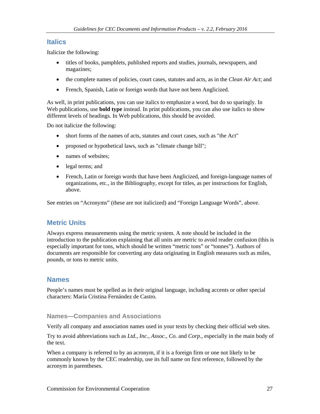# **Italics**

Italicize the following:

- titles of books, pamphlets, published reports and studies, journals, newspapers, and magazines;
- the complete names of policies, court cases, statutes and acts, as in the *Clean Air Act*; and
- French, Spanish, Latin or foreign words that have not been Anglicized.

As well, in print publications, you can use italics to emphasize a word, but do so sparingly. In Web publications, use **bold type** instead. In print publications, you can also use italics to show different levels of headings. In Web publications, this should be avoided.

Do not italicize the following:

- short forms of the names of acts, statutes and court cases, such as "the Act"
- proposed or hypothetical laws, such as "climate change bill";
- names of websites:
- legal terms; and
- French, Latin or foreign words that have been Anglicized, and foreign-language names of organizations, etc., in the Bibliography, except for titles, as per instructions for English, above.

See entries on "Acronyms" (these are not italicized) and "Foreign Language Words", above.

# **Metric Units**

Always express measurements using the metric system. A note should be included in the introduction to the publication explaining that all units are metric to avoid reader confusion (this is especially important for tons, which should be written "metric tons" or "tonnes"). Authors of documents are responsible for converting any data originating in English measures such as miles, pounds, or tons to metric units.

# **Names**

People's names must be spelled as in their original language, including accents or other special characters: María Cristina Fernández de Castro.

### **Names—Companies and Associations**

Verify all company and association names used in your texts by checking their official web sites.

Try to avoid abbreviations such as *Ltd., Inc., Assoc.*, *Co.* and *Corp.*, especially in the main body of the text.

When a company is referred to by an acronym, if it is a foreign firm or one not likely to be commonly known by the CEC readership, use its full name on first reference, followed by the acronym in parentheses.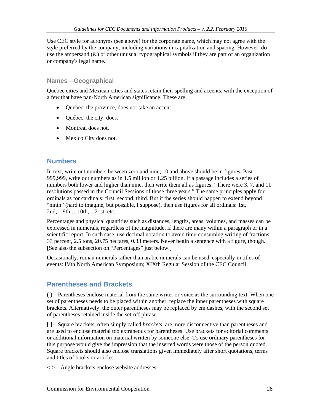Use CEC style for acronyms (see above) for the corporate name, which may not agree with the style preferred by the company, including variations in capitalization and spacing. However, do use the ampersand (&) or other unusual typographical symbols if they are part of an organization or company's legal name.

### **Names—Geographical**

Quebec cities and Mexican cities and states retain their spelling and accents, with the exception of a few that have pan-North American significance. These are:

- Ouebec, the province, does not take an accent.
- Québec, the city, does.
- Montreal does not.
- Mexico City does not.

# **Numbers**

In text, write out numbers between zero and nine; 10 and above should be in figures. Past 999,999, write out numbers as in 1.5 million or 1.25 billion. If a passage includes a series of numbers both lower and higher than nine, then write them all as figures: "There were 3, 7, and 11 resolutions passed in the Council Sessions of those three years." The same principles apply for ordinals as for cardinals: first, second, third. But if the series should happen to extend beyond "ninth" (hard to imagine, but possible, I suppose), then use figures for all ordinals: 1st, 2nd,…9th,…10th,…21st, etc.

Percentages and physical quantities such as distances, lengths, areas, volumes, and masses can be expressed in numerals, regardless of the magnitude, if there are many within a paragraph or in a scientific report. In such case, use decimal notation to avoid time-consuming writing of fractions: 33 percent, 2.5 tons, 20.75 hectares, 0.33 meters. Never begin a sentence with a figure, though. [See also the subsection on "Percentages" just below.]

Occasionally, roman numerals rather than arabic numerals can be used, especially in titles of events: IVth North American Symposium; XIXth Regular Session of the CEC Council.

# **Parentheses and Brackets**

( )—Parentheses enclose material from the same writer or voice as the surrounding text. When one set of parentheses needs to be placed within another, replace the inner parentheses with square brackets. Alternatively, the outer parentheses may be replaced by em dashes, with the second set of parentheses retained inside the set-off phrase.

[ ]—Square brackets, often simply called *brackets*, are more disconnective than parentheses and are used to enclose material too extraneous for parentheses. Use brackets for editorial comments or additional information on material written by someone else. To use ordinary parentheses for this purpose would give the impression that the inserted words were those of the person quoted. Square brackets should also enclose translations given immediately after short quotations, terms and titles of books or articles.

< >—Angle brackets enclose website addresses.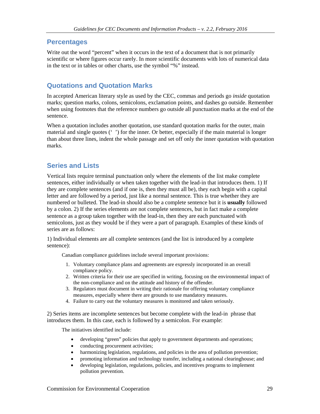# **Percentages**

Write out the word "percent" when it occurs in the text of a document that is not primarily scientific or where figures occur rarely. In more scientific documents with lots of numerical data in the text or in tables or other charts, use the symbol "%" instead.

# **Quotations and Quotation Marks**

In accepted American literary style as used by the CEC, commas and periods go *inside* quotation marks; question marks, colons, semicolons, exclamation points, and dashes go outside. Remember when using footnotes that the reference numbers go outside all punctuation marks at the end of the sentence.

When a quotation includes another quotation, use standard quotation marks for the outer, main material and single quotes (' ') for the inner. Or better, especially if the main material is longer than about three lines, indent the whole passage and set off only the inner quotation with quotation marks.

# **Series and Lists**

Vertical lists require terminal punctuation only where the elements of the list make complete sentences, either individually or when taken together with the lead-in that introduces them. 1) If they are complete sentences (and if one is, then they must all be), they each begin with a capital letter and are followed by a period, just like a normal sentence. This is true whether they are numbered or bulleted. The lead-in should also be a complete sentence but it is **usually** followed by a colon. 2) If the series elements are not complete sentences, but in fact make a complete sentence as a group taken together with the lead-in, then they are each punctuated with semicolons, just as they would be if they were a part of paragraph. Examples of these kinds of series are as follows:

1) Individual elements are all complete sentences (and the list is introduced by a complete sentence):

Canadian compliance guidelines include several important provisions:

- 1. Voluntary compliance plans and agreements are expressly incorporated in an overall compliance policy.
- 2. Written criteria for their use are specified in writing, focusing on the environmental impact of the non-compliance and on the attitude and history of the offender.
- 3. Regulators must document in writing their rationale for offering voluntary compliance measures, especially where there are grounds to use mandatory measures.
- 4. Failure to carry out the voluntary measures is monitored and taken seriously.

2) Series items are incomplete sentences but become complete with the lead-in phrase that introduces them. In this case, each is followed by a semicolon. For example:

The initiatives identified include:

- developing "green" policies that apply to government departments and operations;
- conducting procurement activities;
- harmonizing legislation, regulations, and policies in the area of pollution prevention;
- promoting information and technology transfer, including a national clearinghouse; and
- developing legislation, regulations, policies, and incentives programs to implement pollution prevention.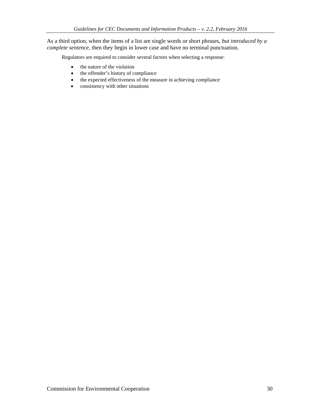As a third option, when the items of a list are single words or short phrases, *but introduced by a complete sentence*, then they begin in lower case and have no terminal punctuation.

Regulators are required to consider several factors when selecting a response:

- the nature of the violation
- the offender's history of compliance
- the expected effectiveness of the measure in achieving compliance
- consistency with other situations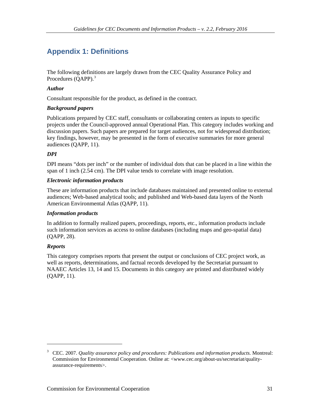# **Appendix 1: Definitions**

The following definitions are largely drawn from the CEC Quality Assurance Policy and Procedures (QAPP).<sup>[3](#page-30-0)</sup>

### *Author*

Consultant responsible for the product, as defined in the contract.

### *Background papers*

Publications prepared by CEC staff, consultants or collaborating centers as inputs to specific projects under the Council-approved annual Operational Plan. This category includes working and discussion papers. Such papers are prepared for target audiences, not for widespread distribution; key findings, however, may be presented in the form of executive summaries for more general audiences (QAPP, 11).

### *DPI*

DPI means "dots per inch" or the number of individual dots that can be placed in a line within the span of 1 inch (2.54 cm). The DPI value tends to correlate with image resolution.

### *Electronic information products*

These are information products that include databases maintained and presented online to external audiences; Web-based analytical tools; and published and Web-based data layers of the North American Environmental Atlas (QAPP, 11).

### *Information products*

In addition to formally realized papers, proceedings, reports, etc., information products include such information services as access to online databases (including maps and geo-spatial data) (QAPP, 28).

### *Reports*

 $\overline{a}$ 

This category comprises reports that present the output or conclusions of CEC project work, as well as reports, determinations, and factual records developed by the Secretariat pursuant to NAAEC Articles 13, 14 and 15. Documents in this category are printed and distributed widely (QAPP, 11).

<span id="page-30-0"></span><sup>3</sup> CEC. 2007. *Quality assurance policy and procedures: Publications and information products.* Montreal: Commission for Environmental Cooperation. Online at: <www.cec.org/about-us/secretariat/qualityassurance-requirements>.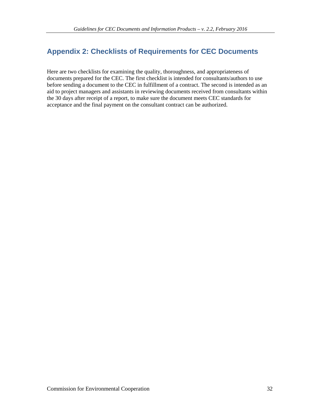# **Appendix 2: Checklists of Requirements for CEC Documents**

Here are two checklists for examining the quality, thoroughness, and appropriateness of documents prepared for the CEC. The first checklist is intended for consultants/authors to use before sending a document to the CEC in fulfillment of a contract. The second is intended as an aid to project managers and assistants in reviewing documents received from consultants within the 30 days after receipt of a report, to make sure the document meets CEC standards for acceptance and the final payment on the consultant contract can be authorized.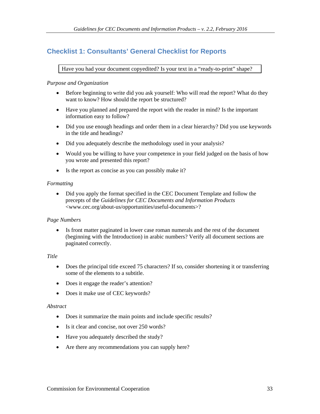# **Checklist 1: Consultants' General Checklist for Reports**

Have you had your document copyedited? Is your text in a "ready-to-print" shape?

### *Purpose and Organization*

- Before beginning to write did you ask yourself: Who will read the report? What do they want to know? How should the report be structured?
- Have you planned and prepared the report with the reader in mind? Is the important information easy to follow?
- Did you use enough headings and order them in a clear hierarchy? Did you use keywords in the title and headings?
- Did you adequately describe the methodology used in your analysis?
- Would you be willing to have your competence in your field judged on the basis of how you wrote and presented this report?
- Is the report as concise as you can possibly make it?

### *Formatting*

• Did you apply the format specified in the CEC Document Template and follow the precepts of the *Guidelines for CEC Documents and Information Products* <www.cec.org/about-us/opportunities/useful-documents>?

### *Page Numbers*

• Is front matter paginated in lower case roman numerals and the rest of the document (beginning with the Introduction) in arabic numbers? Verify all document sections are paginated correctly.

### *Title*

- Does the principal title exceed 75 characters? If so, consider shortening it or transferring some of the elements to a subtitle.
- Does it engage the reader's attention?
- Does it make use of CEC keywords?

### *Abstract*

- Does it summarize the main points and include specific results?
- Is it clear and concise, not over 250 words?
- Have you adequately described the study?
- Are there any recommendations you can supply here?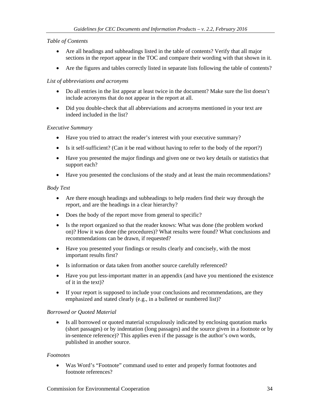### *Table of Contents*

- Are all headings and subheadings listed in the table of contents? Verify that all major sections in the report appear in the TOC and compare their wording with that shown in it.
- Are the figures and tables correctly listed in separate lists following the table of contents?

### *List of abbreviations and acronyms*

- Do all entries in the list appear at least twice in the document? Make sure the list doesn't include acronyms that do not appear in the report at all.
- Did you double-check that all abbreviations and acronyms mentioned in your text are indeed included in the list?

### *Executive Summary*

- Have you tried to attract the reader's interest with your executive summary?
- Is it self-sufficient? (Can it be read without having to refer to the body of the report?)
- Have you presented the major findings and given one or two key details or statistics that support each?
- Have you presented the conclusions of the study and at least the main recommendations?

### *Body Text*

- Are there enough headings and subheadings to help readers find their way through the report, and are the headings in a clear hierarchy?
- Does the body of the report move from general to specific?
- Is the report organized so that the reader knows: What was done (the problem worked on)? How it was done (the procedures)? What results were found? What conclusions and recommendations can be drawn, if requested?
- Have you presented your findings or results clearly and concisely, with the most important results first?
- Is information or data taken from another source carefully referenced?
- Have you put less-important matter in an appendix (and have you mentioned the existence of it in the text)?
- If your report is supposed to include your conclusions and recommendations, are they emphasized and stated clearly (e.g., in a bulleted or numbered list)?

### *Borrowed or Quoted Material*

• Is all borrowed or quoted material scrupulously indicated by enclosing quotation marks (short passages) or by indentation (long passages) and the source given in a footnote or by in-sentence reference)? This applies even if the passage is the author's own words, published in another source.

### *Footnotes*

• Was Word's "Footnote" command used to enter and properly format footnotes and footnote references?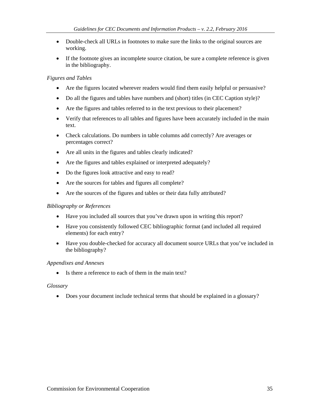- Double-check all URLs in footnotes to make sure the links to the original sources are working.
- If the footnote gives an incomplete source citation, be sure a complete reference is given in the bibliography.

#### *Figures and Tables*

- Are the figures located wherever readers would find them easily helpful or persuasive?
- Do all the figures and tables have numbers and (short) titles (in CEC Caption style)?
- Are the figures and tables referred to in the text previous to their placement?
- Verify that references to all tables and figures have been accurately included in the main text.
- Check calculations. Do numbers in table columns add correctly? Are averages or percentages correct?
- Are all units in the figures and tables clearly indicated?
- Are the figures and tables explained or interpreted adequately?
- Do the figures look attractive and easy to read?
- Are the sources for tables and figures all complete?
- Are the sources of the figures and tables or their data fully attributed?

#### *Bibliography or References*

- Have you included all sources that you've drawn upon in writing this report?
- Have you consistently followed CEC bibliographic format (and included all required elements) for each entry?
- Have you double-checked for accuracy all document source URLs that you've included in the bibliography?

#### *Appendixes and Annexes*

• Is there a reference to each of them in the main text?

#### *Glossary*

• Does your document include technical terms that should be explained in a glossary?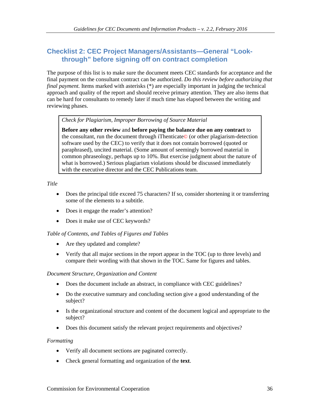# **Checklist 2: CEC Project Managers/Assistants—General "Lookthrough" before signing off on contract completion**

The purpose of this list is to make sure the document meets CEC standards for acceptance and the final payment on the consultant contract can be authorized. *Do this review before authorizing that final payment.* Items marked with asterisks (\*) are especially important in judging the technical approach and quality of the report and should receive primary attention. They are also items that can be hard for consultants to remedy later if much time has elapsed between the writing and reviewing phases.

*Check for Plagiarism, Improper Borrowing of Source Material*

**Before any other review** and **before paying the balance due on any contract** to the consultant, run the document through iThenticate© (or other plagiarism-detection software used by the CEC) to verify that it does not contain borrowed (quoted or paraphrased), uncited material. (Some amount of seemingly borrowed material in common phraseology, perhaps up to 10%. But exercise judgment about the nature of what is borrowed.) Serious plagiarism violations should be discussed immediately with the executive director and the CEC Publications team.

*Title*

- Does the principal title exceed 75 characters? If so, consider shortening it or transferring some of the elements to a subtitle.
- Does it engage the reader's attention?
- Does it make use of CEC keywords?

### *Table of Contents, and Tables of Figures and Tables*

- Are they updated and complete?
- Verify that all major sections in the report appear in the TOC (up to three levels) and compare their wording with that shown in the TOC. Same for figures and tables.

### *Document Structure, Organization and Content*

- Does the document include an abstract, in compliance with CEC guidelines?
- Do the executive summary and concluding section give a good understanding of the subject?
- Is the organizational structure and content of the document logical and appropriate to the subject?
- Does this document satisfy the relevant project requirements and objectives?

### *Formatting*

- Verify all document sections are paginated correctly.
- Check general formatting and organization of the **text**.